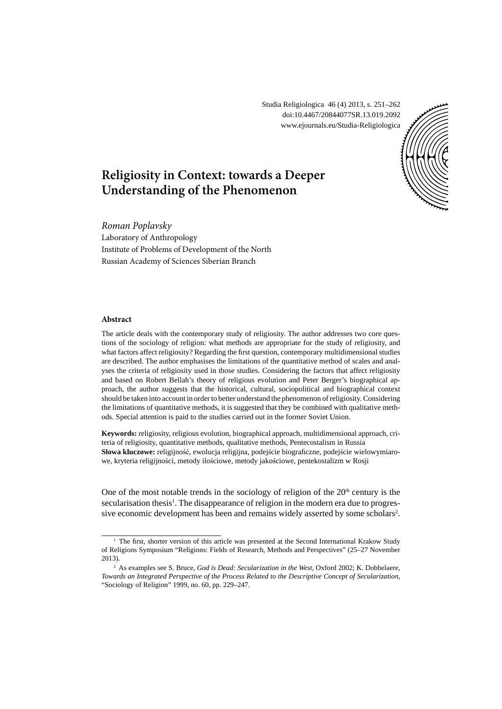Studia Religiologica 46 (4) 2013, s. 251–262 doi:10.4467/20844077SR.13.019.2092 www.ejournals.eu/Studia-Religiologica

# **Religiosity in Context: towards a Deeper Understanding of the Phenomenon**

*Roman Poplavsky* Laboratory of Anthropology Institute of Problems of Development of the North Russian Academy of Sciences Siberian Branch

#### **Abstract**

The article deals with the contemporary study of religiosity. The author addresses two core questions of the sociology of religion: what methods are appropriate for the study of religiosity, and what factors affect religiosity? Regarding the first question, contemporary multidimensional studies are described. The author emphasises the limitations of the quantitative method of scales and analyses the criteria of religiosity used in those studies. Considering the factors that affect religiosity and based on Robert Bellah's theory of religious evolution and Peter Berger's biographical approach, the author suggests that the historical, cultural, sociopolitical and biographical context should be taken into account in order to better understand the phenomenon of religiosity. Considering the limitations of quantitative methods, it is suggested that they be combined with qualitative methods. Special attention is paid to the studies carried out in the former Soviet Union.

**Keywords:** religiosity, religious evolution, biographical approach, multidimensional approach, criteria of religiosity, quantitative methods, qualitative methods, Pentecostalism in Russia Słowa kluczowe: religijność, ewolucja religijna, podejście biograficzne, podejście wielowymiarowe, kryteria religijności, metody ilościowe, metody jakościowe, pentekostalizm w Rosji

One of the most notable trends in the sociology of religion of the  $20<sup>th</sup>$  century is the secularisation thesis<sup>1</sup>. The disappearance of religion in the modern era due to progressive economic development has been and remains widely asserted by some scholars<sup>2</sup>.

<sup>&</sup>lt;sup>1</sup> The first, shorter version of this article was presented at the Second International Krakow Study of Religions Symposium "Religions: Fields of Research, Methods and Perspectives" (25–27 November 2013).

<sup>2</sup> As examples see S. Bruce, *God is Dead: Secularization in the West*, Oxford 2002; K. Dobbelaere, *Towards an Integrated Perspective of the Process Related to the Descriptive Concept of Secularization*, "Sociology of Religion" 1999, no. 60, pp. 229–247.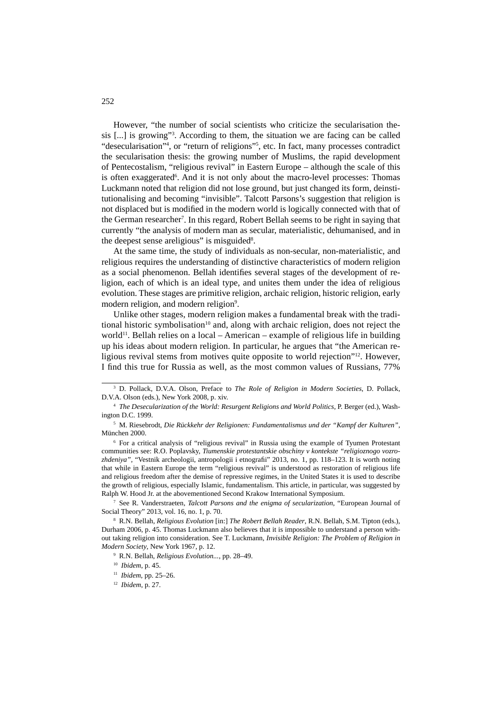However, "the number of social scientists who criticize the secularisation thesis [...] is growing"3 . According to them, the situation we are facing can be called "desecularisation"<sup>4</sup>, or "return of religions"<sup>5</sup>, etc. In fact, many processes contradict the secularisation thesis: the growing number of Muslims, the rapid development of Pentecostalism, "religious revival" in Eastern Europe – although the scale of this is often exaggerated<sup>6</sup>. And it is not only about the macro-level processes: Thomas Luckmann noted that religion did not lose ground, but just changed its form, deinstitutionalising and becoming "invisible". Talcott Parsons's suggestion that religion is not displaced but is modified in the modern world is logically connected with that of the German researcher<sup>7</sup>. In this regard, Robert Bellah seems to be right in saying that currently "the analysis of modern man as secular, materialistic, dehumanised, and in the deepest sense areligious" is misguided<sup>8</sup>.

At the same time, the study of individuals as non-secular, non-materialistic, and religious requires the understanding of distinctive characteristics of modern religion as a social phenomenon. Bellah identifies several stages of the development of religion, each of which is an ideal type, and unites them under the idea of religious evolution. These stages are primitive religion, archaic religion, historic religion, early modern religion, and modern religion<sup>9</sup>.

Unlike other stages, modern religion makes a fundamental break with the traditional historic symbolisation $10$  and, along with archaic religion, does not reject the world<sup>11</sup>. Bellah relies on a local – American – example of religious life in building up his ideas about modern religion. In particular, he argues that "the American religious revival stems from motives quite opposite to world rejection"12. However, I find this true for Russia as well, as the most common values of Russians,  $77\%$ 

<sup>3</sup> D. Pollack, D.V.A. Olson, Preface to *The Role of Religion in Modern Societies*, D. Pollack, D.V.A. Olson (eds.), New York 2008, p. xiv.

<sup>4</sup> *The Desecularization of the World: Resurgent Religions and World Politics*, P. Berger (ed.), Washington D.C. 1999.

<sup>5</sup> M. Riesebrodt, *Die Rückkehr der Religionen: Fundamentalismus und der "Kampf der Kulturen"*, München 2000.

<sup>6</sup> For a critical analysis of "religious revival" in Russia using the example of Tyumen Protestant communities see: R.O. Poplavsky, *Tiumenskie protestantskie obschiny v kontekste "religioznogo vozro*zhdeniya", "Vestnik archeologii, antropologii i etnografii" 2013, no. 1, pp. 118–123. It is worth noting that while in Eastern Europe the term "religious revival" is understood as restoration of religious life and religious freedom after the demise of repressive regimes, in the United States it is used to describe the growth of religious, especially Islamic, fundamentalism. This article, in particular, was suggested by Ralph W. Hood Jr. at the abovementioned Second Krakow International Symposium.

<sup>7</sup> See R. Vanderstraeten, *Talcott Parsons and the enigma of secularization*, "European Journal of Social Theory" 2013, vol. 16, no. 1, p. 70.

<sup>8</sup> R.N. Bellah, *Religious Evolution* [in:] *The Robert Bellah Reader*, R.N. Bellah, S.M. Tipton (eds.), Durham 2006, p. 45. Thomas Luckmann also believes that it is impossible to understand a person without taking religion into consideration. See T. Luckmann, *Invisible Religion: The Problem of Religion in Modern Society*, New York 1967, p. 12.

<sup>9</sup> R.N. Bellah, *Religious Evolution...*, pp. 28–49.

<sup>10</sup> *Ibidem*, p. 45.

<sup>11</sup> *Ibidem*, pp. 25–26.

<sup>12</sup> *Ibidem*, p. 27.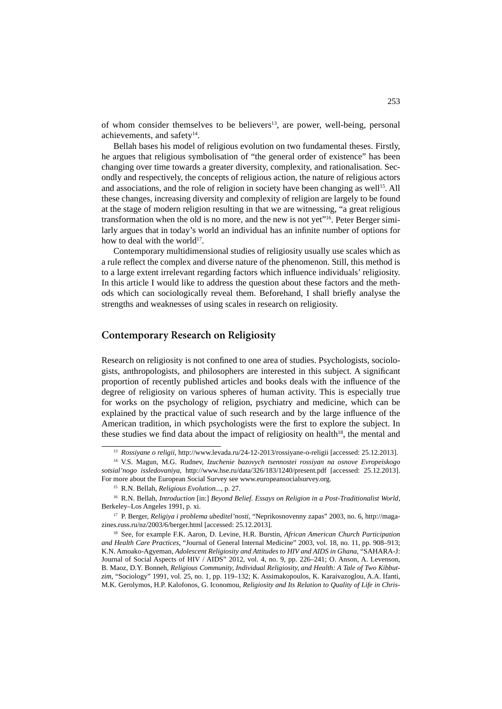of whom consider themselves to be believers<sup>13</sup>, are power, well-being, personal achievements, and safety $14$ .

Bellah bases his model of religious evolution on two fundamental theses. Firstly, he argues that religious symbolisation of "the general order of existence" has been changing over time towards a greater diversity, complexity, and rationalisation. Secondly and respectively, the concepts of religious action, the nature of religious actors and associations, and the role of religion in society have been changing as well<sup>15</sup>. All these changes, increasing diversity and complexity of religion are largely to be found at the stage of modern religion resulting in that we are witnessing, "a great religious transformation when the old is no more, and the new is not yet"16. Peter Berger similarly argues that in today's world an individual has an infinite number of options for how to deal with the world<sup>17</sup>.

Contemporary multidimensional studies of religiosity usually use scales which as a rule reflect the complex and diverse nature of the phenomenon. Still, this method is to a large extent irrelevant regarding factors which influence individuals' religiosity. In this article I would like to address the question about these factors and the methods which can sociologically reveal them. Beforehand, I shall briefly analyse the strengths and weaknesses of using scales in research on religiosity.

## **Contemporary Research on Religiosity**

Research on religiosity is not confined to one area of studies. Psychologists, sociologists, anthropologists, and philosophers are interested in this subject. A significant proportion of recently published articles and books deals with the influence of the degree of religiosity on various spheres of human activity. This is especially true for works on the psychology of religion, psychiatry and medicine, which can be explained by the practical value of such research and by the large influence of the American tradition, in which psychologists were the first to explore the subject. In these studies we find data about the impact of religiosity on health<sup>18</sup>, the mental and

<sup>13</sup> *Rossiyane o religii*, http://www.levada.ru/24-12-2013/rossiyane-o-religii [accessed: 25.12.2013].

<sup>14</sup> V.S. Magun, M.G. Rudnev, *Izuchenie bazovych tsennostei rossiyan na osnove Evropeiskogo sotsial'nogo issledovaniya*, http://www.hse.ru/data/326/183/1240/present.pdf [accessed: 25.12.2013]. For more about the European Social Survey see www.europeansocialsurvey.org*.*

<sup>15</sup> R.N. Bellah, *Religious Evolution...*, p. 27.

<sup>16</sup> R.N. Bellah, *Introduction* [in:] *Beyond Belief. Essays on Religion in a Post-Traditionalist World*, Berkeley–Los Angeles 1991, p. xi.

<sup>17</sup> P. Berger, *Religiya i problema ubeditel'nosti*, "Neprikosnovenny zapas" 2003, no. 6, http://magazines.russ.ru/nz/2003/6/berger.html [accessed: 25.12.2013].

<sup>18</sup> See, for example F.K. Aaron, D. Levine, H.R. Burstin, *African American Church Participation and Health Care Practices*, "Journal of General Internal Medicine" 2003, vol. 18, no. 11, pp. 908–913; K.N. Amoako-Agyeman, *Adolescent Religiosity and Attitudes to HIV and AIDS in Ghana*, "SAHARA-J: Journal of Social Aspects of HIV / AIDS" 2012, vol. 4, no. 9, pp. 226–241; O. Anson, A. Levenson, B. Maoz, D.Y. Bonneh, *Religious Community, Individual Religiosity, and Health: A Tale of Two Kibbutzim*, "Sociology" 1991, vol. 25, no. 1, pp. 119–132; K. Assimakopoulos, K. Karaivazoglou, A.A. Ifanti, M.K. Gerolymos, H.P. Kalofonos, G. Iconomou, *Religiosity and Its Relation to Quality of Life in Chris-*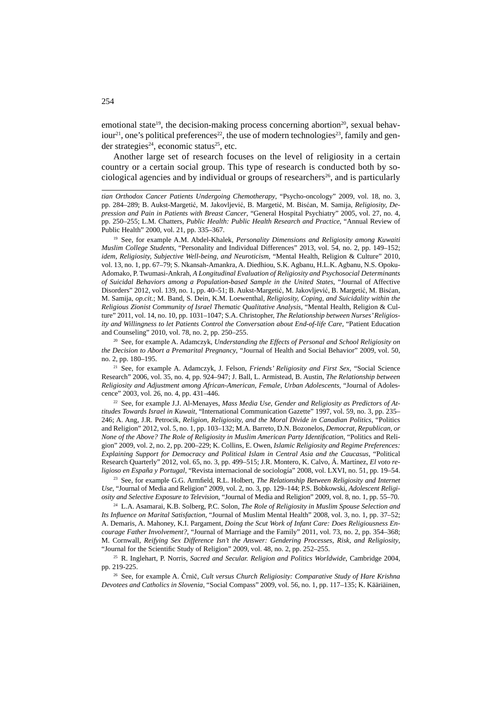emotional state<sup>19</sup>, the decision-making process concerning abortion<sup>20</sup>, sexual behaviour<sup>21</sup>, one's political preferences<sup>22</sup>, the use of modern technologies<sup>23</sup>, family and gender strategies<sup>24</sup>, economic status<sup>25</sup>, etc.

Another large set of research focuses on the level of religiosity in a certain country or a certain social group. This type of research is conducted both by sociological agencies and by individual or groups of researchers<sup>26</sup>, and is particularly

20 See, for example A. Adamczyk, *Understanding the Effects of Personal and School Religiosity on the Decision to Abort a Premarital Pregnancy*, "Journal of Health and Social Behavior" 2009, vol. 50, no. 2, pp. 180–195.

21 See, for example A. Adamczyk*,* J. Felson, *Friends' Religiosity and First Sex*, "Social Science Research" 2006, vol. 35, no. 4, pp. 924–947; J. Ball, L. Armistead, B. Austin, *The Relationship between Religiosity and Adjustment among African-American, Female, Urban Adolescents*, "Journal of Adolescence" 2003, vol. 26, no. 4, pp. 431–446.

22 See, for example J.J. Al-Menayes, *Mass Media Use, Gender and Religiosity as Predictors of Attitudes Towards Israel in Kuwait*, "International Communication Gazette" 1997, vol. 59, no. 3, pp. 235– 246; A. Ang, J.R. Petrocik, *Religion, Religiosity, and the Moral Divide in Canadian Politics*, "Politics and Religion" 2012, vol. 5, no. 1, pp. 103–132; M.A. Barreto, D.N. Bozonelos, *Democrat, Republican, or None of the Above? The Role of Religiosity in Muslim American Party Identifi cation*, "Politics and Religion" 2009, vol. 2, no. 2, pp. 200–229; K. Collins, E. Owen, *Islamic Religiosity and Regime Preferences: Explaining Support for Democracy and Political Islam in Central Asia and the Caucasus*, "Political Research Quarterly" 2012, vol. 65, no. 3, pp. 499–515; J.R. Montero, K. Calvo, Á. Martínez, *El voto religioso en España y Portugal*, "Revista internacional de sociología" 2008, vol. LXVI, no. 51, pp. 19–54.

<sup>23</sup> See, for example G.G. Armfield, R.L. Holbert, *The Relationship Between Religiosity and Internet Use*, "Journal of Media and Religion" 2009, vol. 2, no. 3, pp. 129–144; P.S. Bobkowski, *Adolescent Religiosity and Selective Exposure to Television*, "Journal of Media and Religion" 2009, vol. 8, no. 1, pp. 55–70.

24 L.A. Asamarai, K.B. Solberg, P.C. Solon, *The Role of Religiosity in Muslim Spouse Selection and Its Infl uence on Marital Satisfaction*, "Journal of Muslim Mental Health" 2008, vol. 3, no. 1, pp. 37–52; A. Demaris, A. Mahoney, K.I. Pargament, *Doing the Scut Work of Infant Care: Does Religiousness Encourage Father Involvement?*, "Journal of Marriage and the Family" 2011, vol. 73, no. 2, pp. 354–368; M. Cornwall, *Reifying Sex Difference Isn't the Answer: Gendering Processes, Risk, and Religiosity*, "Journal for the Scientific Study of Religion" 2009, vol. 48, no. 2, pp. 252-255.

25 R. Inglehart, P. Norris, *Sacred and Secular. Religion and Politics Worldwide*, Cambridge 2004, pp. 219-225.

26 See, for example A. Črnič, *Cult versus Church Religiosity: Comparative Study of Hare Krishna Devotees and Catholics in Slovenia*, "Social Compass" 2009, vol. 56, no. 1, pp. 117–135; K. Kääriäinen,

*tian Orthodox Cancer Patients Undergoing Chemotherapy*, "Psycho-oncology" 2009, vol. 18, no. 3, pp. 284–289; B. Aukst-Margetić, M. Jakovljević, B. Margetić, M. Bisćan, M. Samija, *Religiosity, Depression and Pain in Patients with Breast Cancer*, "General Hospital Psychiatry" 2005, vol. 27, no. 4, pp. 250–255; L.M. Chatters, *Public Health: Public Health Research and Practice*, "Annual Review of Public Health" 2000, vol. 21, pp. 335–367.

<sup>19</sup> See, for example A.M. Abdel-Khalek, *Personality Dimensions and Religiosity among Kuwaiti Muslim College Students*, "Personality and Individual Differences" 2013, vol. 54, no. 2, pp. 149–152; *idem*, *Religiosity, Subjective Well-being, and Neuroticism*, "Mental Health, Religion & Culture" 2010, vol. 13, no. 1, pp. 67–79; S. Nkansah-Amankra, A. Diedhiou, S.K. Agbanu, H.L.K. Agbanu, N.S. Opoku-Adomako, P. Twumasi-Ankrah, *A Longitudinal Evaluation of Religiosity and Psychosocial Determinants of Suicidal Behaviors among a Population-based Sample in the United States*, "Journal of Affective Disorders" 2012, vol. 139, no. 1, pp. 40–51; B. Aukst-Margetić, M. Jakovljević, B. Margetić, M. Bisćan, M. Samija, *op.cit.*; M. Band, S. Dein, K.M. Loewenthal, *Religiosity, Coping, and Suicidality within the Religious Zionist Community of Israel Thematic Qualitative Analysis*, "Mental Health, Religion & Culture" 2011, vol. 14, no. 10, pp. 1031–1047; S.A. Christopher, *The Relationship between Nurses' Religiosity and Willingness to let Patients Control the Conversation about End-of-life Care*, "Patient Education and Counseling" 2010, vol. 78, no. 2, pp. 250–255.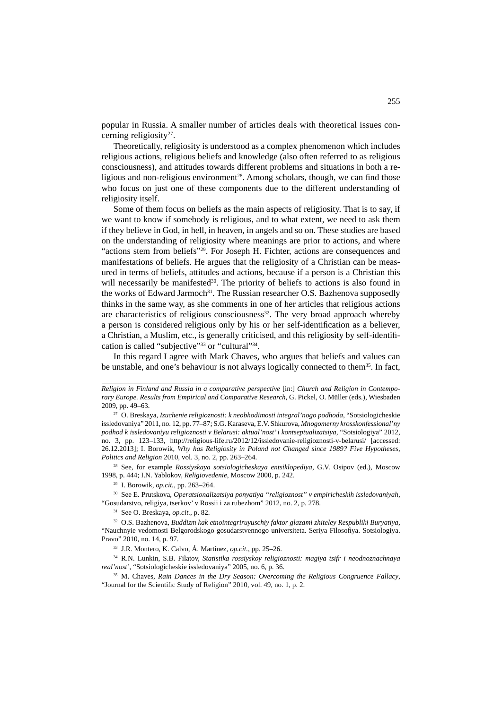popular in Russia. A smaller number of articles deals with theoretical issues concerning religiosity<sup>27</sup>.

Theoretically, religiosity is understood as a complex phenomenon which includes religious actions, religious beliefs and knowledge (also often referred to as religious consciousness), and attitudes towards different problems and situations in both a religious and non-religious environment<sup>28</sup>. Among scholars, though, we can find those who focus on just one of these components due to the different understanding of religiosity itself.

Some of them focus on beliefs as the main aspects of religiosity. That is to say, if we want to know if somebody is religious, and to what extent, we need to ask them if they believe in God, in hell, in heaven, in angels and so on. These studies are based on the understanding of religiosity where meanings are prior to actions, and where "actions stem from beliefs"29. For Joseph H. Fichter, actions are consequences and manifestations of beliefs. He argues that the religiosity of a Christian can be measured in terms of beliefs, attitudes and actions, because if a person is a Christian this will necessarily be manifested<sup>30</sup>. The priority of beliefs to actions is also found in the works of Edward Jarmoch<sup>31</sup>. The Russian researcher O.S. Bazhenova supposedly thinks in the same way, as she comments in one of her articles that religious actions are characteristics of religious consciousness<sup>32</sup>. The very broad approach whereby a person is considered religious only by his or her self-identification as a believer, a Christian, a Muslim, etc., is generally criticised, and this religiosity by self-identifi cation is called "subjective"33 or "cultural"34.

In this regard I agree with Mark Chaves, who argues that beliefs and values can be unstable, and one's behaviour is not always logically connected to them<sup>35</sup>. In fact,

28 See, for example *Rossiyskaya sotsiologicheskaya entsiklopediya*, G.V. Osipov (ed.), Moscow 1998, p. 444; I.N. Yablokov, *Religiovedenie*, Moscow 2000, p. 242.

29 I. Borowik, *op.cit.*, pp. 263–264.

30 See E. Prutskova, *Operatsionalizatsiya ponyatiya "religioznost" v empiricheskih issledovaniyah*, "Gosudarstvo, religiya, tserkov' v Rossii i za rubezhom" 2012, no. 2, p. 278.

31 See O. Breskaya, *op.cit.*, p. 82.

32 O.S. Bazhenova, *Buddizm kak etnointegriruyuschiy faktor glazami zhiteley Respubliki Buryatiya,* "Nauchnyie vedomosti Belgorodskogo gosudarstvennogo universiteta. Seriya Filosofiya. Sotsiologiya. Pravo" 2010, no. 14, p. 97.

33 J.R. Montero, K. Calvo, Á. Martínez, *op.cit.*, pp. 25–26.

34 R.N. Lunkin, S.B. Filatov, *Statistika rossiyskoy religioznosti: magiya tsifr i neodnoznachnaya real'nost'*, "Sotsiologicheskie issledovaniya" 2005, no. 6, p. 36.

35 M. Chaves, *Rain Dances in the Dry Season: Overcoming the Religious Congruence Fallacy*, "Journal for the Scientific Study of Religion" 2010, vol. 49, no. 1, p. 2.

*Religion in Finland and Russia in a comparative perspective* [in:] *Church and Religion in Contemporary Europe. Results from Empirical and Comparative Research*, G. Pickel, O. Müller (eds.), Wiesbaden 2009, pp. 49–63.

<sup>27</sup> O. Breskaya, *Izuchenie religioznosti: k neobhodimosti integral'nogo podhoda*, "Sotsiologicheskie issledovaniya" 2011, no. 12, pp. 77–87; S.G. Karaseva, E.V. Shkurova, *Mnogomerny krosskonfessional'ny podhod k issledovaniyu religioznosti v Belarusi: aktual'nost' i kontseptualizatsiya*, "Sotsiologiya" 2012, no. 3, pp. 123–133, http://religious-life.ru/2012/12/issledovanie-religioznosti-v-belarusi/ [accessed: 26.12.2013]; I. Borowik, *Why has Religiosity in Poland not Changed since 1989? Five Hypotheses*, *Politics and Religion* 2010, vol. 3, no. 2, pp. 263–264.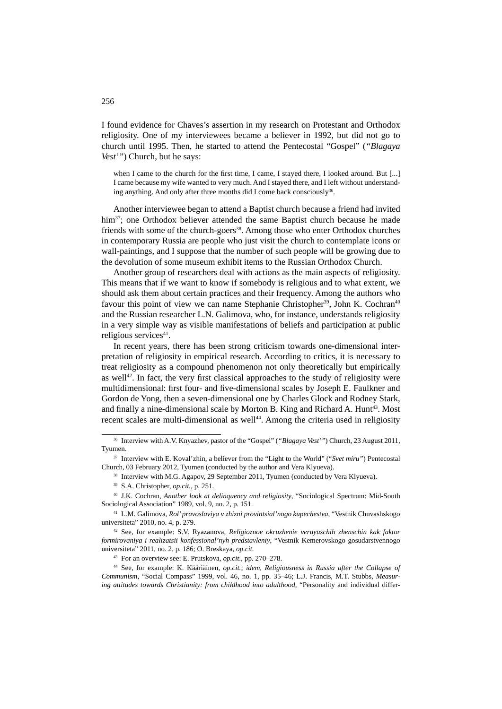I found evidence for Chaves's assertion in my research on Protestant and Orthodox religiosity. One of my interviewees became a believer in 1992, but did not go to church until 1995. Then, he started to attend the Pentecostal "Gospel" (*"Blagaya Vest'"*) Church, but he says:

when I came to the church for the first time, I came, I stayed there, I looked around. But  $[\dots]$ I came because my wife wanted to very much. And I stayed there, and I left without understanding anything. And only after three months did I come back consciously<sup>36</sup>.

Another interviewee began to attend a Baptist church because a friend had invited him<sup>37</sup>; one Orthodox believer attended the same Baptist church because he made friends with some of the church-goers<sup>38</sup>. Among those who enter Orthodox churches in contemporary Russia are people who just visit the church to contemplate icons or wall-paintings, and I suppose that the number of such people will be growing due to the devolution of some museum exhibit items to the Russian Orthodox Church.

Another group of researchers deal with actions as the main aspects of religiosity. This means that if we want to know if somebody is religious and to what extent, we should ask them about certain practices and their frequency. Among the authors who favour this point of view we can name Stephanie Christopher<sup>39</sup>, John K. Cochran<sup>40</sup> and the Russian researcher L.N. Galimova, who, for instance, understands religiosity in a very simple way as visible manifestations of beliefs and participation at public religious services $41$ .

In recent years, there has been strong criticism towards one-dimensional interpretation of religiosity in empirical research. According to critics, it is necessary to treat religiosity as a compound phenomenon not only theoretically but empirically as well<sup>42</sup>. In fact, the very first classical approaches to the study of religiosity were multidimensional: first four- and five-dimensional scales by Joseph E. Faulkner and Gordon de Yong, then a seven-dimensional one by Charles Glock and Rodney Stark, and finally a nine-dimensional scale by Morton B. King and Richard A. Hunt<sup>43</sup>. Most recent scales are multi-dimensional as well<sup>44</sup>. Among the criteria used in religiosity

<sup>36</sup> Interview with A.V. Knyazhev, pastor of the "Gospel" (*"Blagaya Vest'"*) Church, 23 August 2011, Tyumen.

<sup>37</sup> Interview with E. Koval'zhin, a believer from the "Light to the World" (*"Svet miru"*) Pentecostal Church, 03 February 2012, Tyumen (conducted by the author and Vera Klyueva).

<sup>&</sup>lt;sup>38</sup> Interview with M.G. Agapov, 29 September 2011, Tyumen (conducted by Vera Klyueva).

<sup>39</sup> S.A. Christopher, *op.cit.*, p. 251.

<sup>40</sup> J.K. Cochran, *Another look at delinquency and religiosity*, "Sociological Spectrum: Mid-South Sociological Association" 1989, vol. 9, no. 2, p. 151.

<sup>41</sup> L.M. Galimova, *Rol' pravoslaviya v zhizni provintsial'nogo kupechestva*, "Vestnik Chuvashskogo universiteta" 2010, no. 4, p. 279.

<sup>42</sup> See, for example: S.V. Ryazanova, *Religioznoe okruzhenie veruyuschih zhenschin kak faktor formirovaniya i realizatsii konfessional'nyh predstavleniy*, "Vestnik Kemerovskogo gosudarstvennogo universiteta" 2011, no. 2, p. 186; O. Breskaya, *op.cit.*

<sup>43</sup> For an overview see: E. Prutskova, *op.cit.*, pp. 270–278.

<sup>44</sup> See, for example: K. Kääriäinen, *op.cit.*; *idem*, *Religiousness in Russia after the Collapse of Communism*, "Social Compass" 1999, vol. 46, no. 1, pp. 35–46; L.J. Francis, M.T. Stubbs, *Measuring attitudes towards Christianity: from childhood into adulthood*, "Personality and individual differ-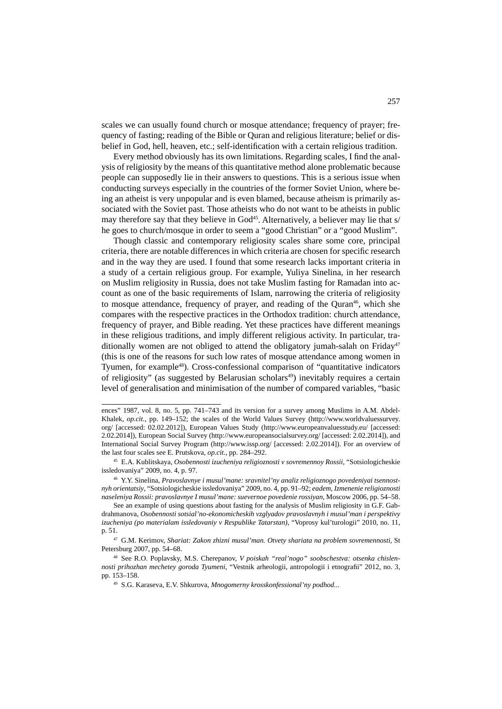scales we can usually found church or mosque attendance; frequency of prayer; frequency of fasting; reading of the Bible or Quran and religious literature; belief or disbelief in God, hell, heaven, etc.; self-identification with a certain religious tradition.

Every method obviously has its own limitations. Regarding scales, I find the analysis of religiosity by the means of this quantitative method alone problematic because people can supposedly lie in their answers to questions. This is a serious issue when conducting surveys especially in the countries of the former Soviet Union, where being an atheist is very unpopular and is even blamed, because atheism is primarily associated with the Soviet past. Those atheists who do not want to be atheists in public may therefore say that they believe in  $God<sup>45</sup>$ . Alternatively, a believer may lie that s/ he goes to church/mosque in order to seem a "good Christian" or a "good Muslim".

Though classic and contemporary religiosity scales share some core, principal criteria, there are notable differences in which criteria are chosen for specific research and in the way they are used. I found that some research lacks important criteria in a study of a certain religious group. For example, Yuliya Sinelina, in her research on Muslim religiosity in Russia, does not take Muslim fasting for Ramadan into account as one of the basic requirements of Islam, narrowing the criteria of religiosity to mosque attendance, frequency of prayer, and reading of the Quran<sup>46</sup>, which she compares with the respective practices in the Orthodox tradition: church attendance, frequency of prayer, and Bible reading. Yet these practices have different meanings in these religious traditions, and imply different religious activity. In particular, traditionally women are not obliged to attend the obligatory jumah-salah on Friday<sup>47</sup> (this is one of the reasons for such low rates of mosque attendance among women in Tyumen, for example48). Cross-confessional comparison of "quantitative indicators of religiosity" (as suggested by Belarusian scholars<sup>49</sup>) inevitably requires a certain level of generalisation and minimisation of the number of compared variables, "basic

ences" 1987, vol. 8, no. 5, pp. 741–743 and its version for a survey among Muslims in A.M. Abdel-Khalek, *op.cit.*, pp. 149–152; the scales of the World Values Survey (http://www.worldvaluessurvey. org/ [accessed: 02.02.2012]), European Values Study (http://www.europeanvaluesstudy.eu/ [accessed: 2.02.2014]), European Social Survey (http://www.europeansocialsurvey.org/ [accessed: 2.02.2014]), and International Social Survey Program (http://www.issp.org/ [accessed: 2.02.2014]). For an overview of the last four scales see E. Prutskova, *op.cit.*, pp. 284–292.

<sup>45</sup> E.A. Kublitskaya, *Osobennosti izucheniya religioznosti v sovremennoy Rossii*, "Sotsiologicheskie issledovaniya" 2009, no. 4, p. 97.

<sup>46</sup> Y.Y. Sinelina, *Pravoslavnye i musul'mane: sravnitel'ny analiz religioznogo povedeniyai tsennostnyh orientatsiy*, "Sotsiologicheskie issledovaniya" 2009, no. 4, pp. 91–92; *eadem*, *Izmenenie religioznosti naseleniya Rossii: pravoslavnye I musul'mane: suevernoe povedenie rossiyan*, Moscow 2006, pp. 54–58.

See an example of using questions about fasting for the analysis of Muslim religiosity in G.F. Gabdrahmanova, *Osobennosti sotsial'no-ekonomicheskih vzglyadov pravoslavnyh i musul'man i perspektivy izucheniya (po materialam issledovaniy v Respublike Tatarstan)*, "Voprosy kul'turologii" 2010, no. 11, p. 51.

<sup>47</sup> G.M. Kerimov, *Shariat: Zakon zhizni musul'man. Otvety shariata na problem sovremennosti*, St Petersburg 2007, pp. 54–68.

<sup>48</sup> See R.O. Poplavsky, M.S. Cherepanov, *V poiskah "real'nogo" soobschestva: otsenka chislennosti prihozhan mechetey goroda Tyumeni*, "Vestnik arheologii, antropologii i etnografii" 2012, no. 3, pp. 153–158.

<sup>49</sup> S.G. Karaseva, E.V. Shkurova, *Mnogomerny krosskonfessional'ny podhod...*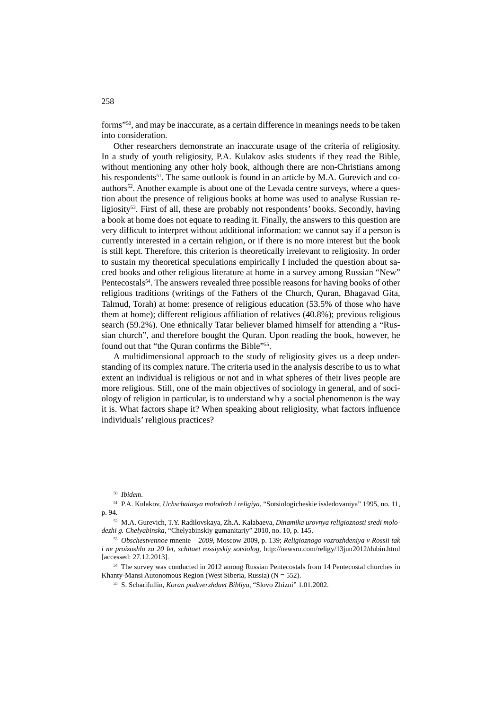forms"50, and may be inaccurate, as a certain difference in meanings needs to be taken into consideration.

Other researchers demonstrate an inaccurate usage of the criteria of religiosity. In a study of youth religiosity, P.A. Kulakov asks students if they read the Bible, without mentioning any other holy book, although there are non-Christians among his respondents<sup>51</sup>. The same outlook is found in an article by M.A. Gurevich and coauthors<sup>52</sup>. Another example is about one of the Levada centre surveys, where a question about the presence of religious books at home was used to analyse Russian religiosity<sup>53</sup>. First of all, these are probably not respondents' books. Secondly, having a book at home does not equate to reading it. Finally, the answers to this question are very difficult to interpret without additional information: we cannot say if a person is currently interested in a certain religion, or if there is no more interest but the book is still kept. Therefore, this criterion is theoretically irrelevant to religiosity. In order to sustain my theoretical speculations empirically I included the question about sacred books and other religious literature at home in a survey among Russian "New" Pentecostals54. The answers revealed three possible reasons for having books of other religious traditions (writings of the Fathers of the Church, Quran, Bhagavad Gita, Talmud, Torah) at home: presence of religious education (53.5% of those who have them at home); different religious affiliation of relatives  $(40.8\%)$ ; previous religious search (59.2%). One ethnically Tatar believer blamed himself for attending a "Russian church", and therefore bought the Quran. Upon reading the book, however, he found out that "the Quran confirms the Bible"<sup>55</sup>.

A multidimensional approach to the study of religiosity gives us a deep understanding of its complex nature. The criteria used in the analysis describe to us to what extent an individual is religious or not and in what spheres of their lives people are more religious. Still, one of the main objectives of sociology in general, and of sociology of religion in particular, is to understand why a social phenomenon is the way it is. What factors shape it? When speaking about religiosity, what factors influence individuals' religious practices?

<sup>50</sup> *Ibidem*.

<sup>51</sup> P.A. Kulakov, *Uchschaiasya molodezh i religiya*, "Sotsiologicheskie issledovaniya" 1995, no. 11, p. 94.

<sup>52</sup> M.A. Gurevich, T.Y. Radilovskaya, Zh.A. Kalabaeva, *Dinamika urovnya religioznosti sredi molodezhi g. Chelyabinska*, "Chelyabinskiy gumanitariy" 2010, no. 10, p. 145.

<sup>53</sup> *Obschestvennoe* mnenie *– 2009*, Moscow 2009, p. 139; *Religioznogo vozrozhdeniya v Rossii tak i ne proizoshlo za 20 let, schitaet rossiyskiy sotsiolog*, http://newsru.com/religy/13jun2012/dubin.html [accessed: 27.12.2013].

<sup>&</sup>lt;sup>54</sup> The survey was conducted in 2012 among Russian Pentecostals from 14 Pentecostal churches in Khanty-Mansi Autonomous Region (West Siberia, Russia) ( $N = 552$ ).

<sup>55</sup> S. Scharifullin, *Koran podtverzhdaet Bibliyu*, "Slovo Zhizni" 1.01.2002.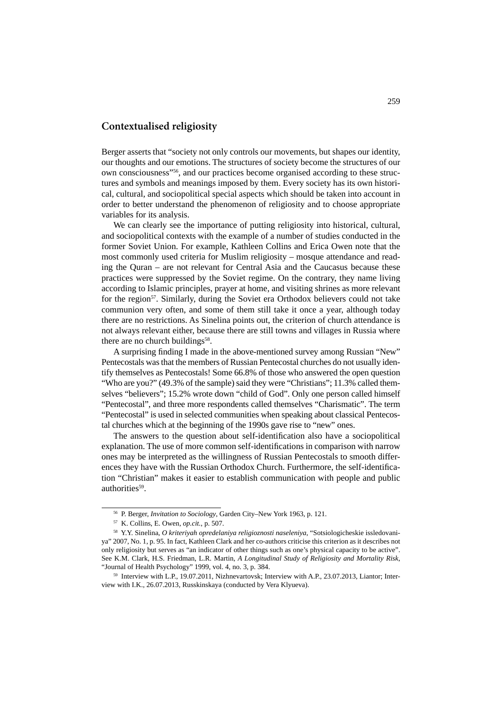#### **Contextualised religiosity**

Berger asserts that "society not only controls our movements, but shapes our identity, our thoughts and our emotions. The structures of society become the structures of our own consciousness"56, and our practices become organised according to these structures and symbols and meanings imposed by them. Every society has its own historical, cultural, and sociopolitical special aspects which should be taken into account in order to better understand the phenomenon of religiosity and to choose appropriate variables for its analysis.

We can clearly see the importance of putting religiosity into historical, cultural, and sociopolitical contexts with the example of a number of studies conducted in the former Soviet Union. For example, Kathleen Collins and Erica Owen note that the most commonly used criteria for Muslim religiosity – mosque attendance and reading the Quran – are not relevant for Central Asia and the Caucasus because these practices were suppressed by the Soviet regime. On the contrary, they name living according to Islamic principles, prayer at home, and visiting shrines as more relevant for the region<sup>57</sup>. Similarly, during the Soviet era Orthodox believers could not take communion very often, and some of them still take it once a year, although today there are no restrictions. As Sinelina points out, the criterion of church attendance is not always relevant either, because there are still towns and villages in Russia where there are no church buildings $58$ .

A surprising finding I made in the above-mentioned survey among Russian "New" Pentecostals was that the members of Russian Pentecostal churches do not usually identify themselves as Pentecostals! Some 66.8% of those who answered the open question "Who are you?" (49.3% of the sample) said they were "Christians"; 11.3% called themselves "believers"; 15.2% wrote down "child of God". Only one person called himself "Pentecostal", and three more respondents called themselves "Charismatic". The term "Pentecostal" is used in selected communities when speaking about classical Pentecostal churches which at the beginning of the 1990s gave rise to "new" ones.

The answers to the question about self-identification also have a sociopolitical explanation. The use of more common self-identifications in comparison with narrow ones may be interpreted as the willingness of Russian Pentecostals to smooth differences they have with the Russian Orthodox Church. Furthermore, the self-identification "Christian" makes it easier to establish communication with people and public authorities<sup>59</sup>.

<sup>56</sup> P. Berger, *Invitation to Sociology*, Garden City–New York 1963, p. 121.

<sup>57</sup> K. Collins, E. Owen, *op.cit.*, p. 507.

<sup>58</sup> Y.Y. Sinelina, *O kriteriyah opredelaniya religioznosti naseleniya*, "Sotsiologicheskie issledovaniya" 2007, No. 1, p. 95. In fact, Kathleen Clark and her co-authors criticise this criterion as it describes not only religiosity but serves as "an indicator of other things such as one's physical capacity to be active". See K.M. Clark, H.S. Friedman, L.R. Martin, *A Longitudinal Study of Religiosity and Mortality Risk*, "Journal of Health Psychology" 1999, vol. 4, no. 3, p. 384.

<sup>59</sup> Interview with L.P., 19.07.2011, Nizhnevartovsk; Interview with A.P., 23.07.2013, Liantor; Interview with I.K., 26.07.2013, Russkinskaya (conducted by Vera Klyueva).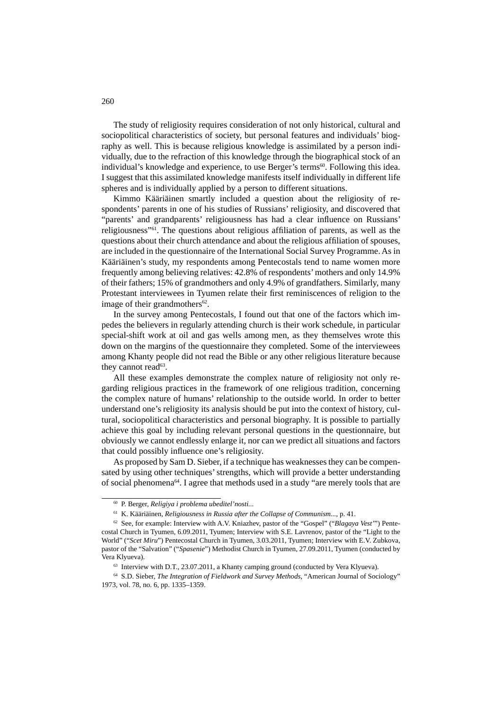The study of religiosity requires consideration of not only historical, cultural and sociopolitical characteristics of society, but personal features and individuals' biography as well. This is because religious knowledge is assimilated by a person individually, due to the refraction of this knowledge through the biographical stock of an individual's knowledge and experience, to use Berger's terms $^{60}$ . Following this idea. I suggest that this assimilated knowledge manifests itself individually in different life spheres and is individually applied by a person to different situations.

Kimmo Kääriäinen smartly included a question about the religiosity of respondents' parents in one of his studies of Russians' religiosity, and discovered that "parents' and grandparents' religiousness has had a clear influence on Russians' religiousness"<sup>61</sup>. The questions about religious affiliation of parents, as well as the questions about their church attendance and about the religious affiliation of spouses, are included in the questionnaire of the International Social Survey Programme. As in Kääriäinen's study, my respondents among Pentecostals tend to name women more frequently among believing relatives: 42.8% of respondents' mothers and only 14.9% of their fathers; 15% of grandmothers and only 4.9% of grandfathers. Similarly, many Protestant interviewees in Tyumen relate their first reminiscences of religion to the image of their grandmothers $62$ .

In the survey among Pentecostals, I found out that one of the factors which impedes the believers in regularly attending church is their work schedule, in particular special-shift work at oil and gas wells among men, as they themselves wrote this down on the margins of the questionnaire they completed. Some of the interviewees among Khanty people did not read the Bible or any other religious literature because they cannot read<sup>63</sup>.

All these examples demonstrate the complex nature of religiosity not only regarding religious practices in the framework of one religious tradition, concerning the complex nature of humans' relationship to the outside world. In order to better understand one's religiosity its analysis should be put into the context of history, cultural, sociopolitical characteristics and personal biography. It is possible to partially achieve this goal by including relevant personal questions in the questionnaire, but obviously we cannot endlessly enlarge it, nor can we predict all situations and factors that could possibly influence one's religiosity.

As proposed by Sam D. Sieber, if a technique has weaknesses they can be compensated by using other techniques' strengths, which will provide a better understanding of social phenomena64. I agree that methods used in a study "are merely tools that are

260

<sup>60</sup> P. Berger, *Religiya i problema ubeditel'nosti...* 

<sup>61</sup> K. Kääriäinen, *Religiousness in Russia after the Collapse of Communism...*, p. 41.

<sup>62</sup> See, for example: Interview with A.V. Kniazhev, pastor of the "Gospel" ("*Blagaya Vest'*") Pentecostal Church in Tyumen, 6.09.2011, Tyumen; Interview with S.E. Lavrenov, pastor of the "Light to the World" ("*Scet Miru*") Pentecostal Church in Tyumen, 3.03.2011, Tyumen; Interview with E.V. Zubkova, pastor of the "Salvation" ("*Spasenie*") Methodist Church in Tyumen, 27.09.2011, Tyumen (conducted by Vera Klyueva).

<sup>&</sup>lt;sup>63</sup> Interview with D.T., 23.07.2011, a Khanty camping ground (conducted by Vera Klyueva).

<sup>64</sup> S.D. Sieber, *The Integration of Fieldwork and Survey Methods*, "American Journal of Sociology" 1973, vol. 78, no. 6, pp. 1335–1359.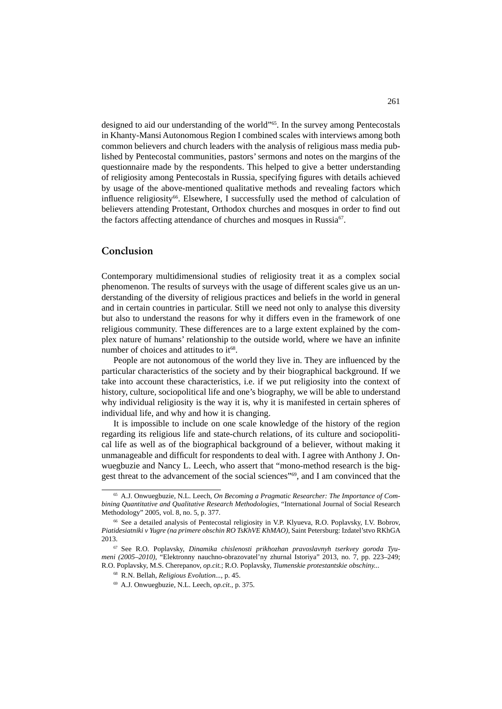designed to aid our understanding of the world"65. In the survey among Pentecostals in Khanty-Mansi Autonomous Region I combined scales with interviews among both common believers and church leaders with the analysis of religious mass media published by Pentecostal communities, pastors' sermons and notes on the margins of the questionnaire made by the respondents. This helped to give a better understanding of religiosity among Pentecostals in Russia, specifying figures with details achieved by usage of the above-mentioned qualitative methods and revealing factors which influence religiosity<sup>66</sup>. Elsewhere, I successfully used the method of calculation of believers attending Protestant, Orthodox churches and mosques in order to find out the factors affecting attendance of churches and mosques in Russia<sup>67</sup>.

## **Conclusion**

Contemporary multidimensional studies of religiosity treat it as a complex social phenomenon. The results of surveys with the usage of different scales give us an understanding of the diversity of religious practices and beliefs in the world in general and in certain countries in particular. Still we need not only to analyse this diversity but also to understand the reasons for why it differs even in the framework of one religious community. These differences are to a large extent explained by the complex nature of humans' relationship to the outside world, where we have an infinite number of choices and attitudes to it<sup>68</sup>.

People are not autonomous of the world they live in. They are influenced by the particular characteristics of the society and by their biographical background. If we take into account these characteristics, i.e. if we put religiosity into the context of history, culture, sociopolitical life and one's biography, we will be able to understand why individual religiosity is the way it is, why it is manifested in certain spheres of individual life, and why and how it is changing.

It is impossible to include on one scale knowledge of the history of the region regarding its religious life and state-church relations, of its culture and sociopolitical life as well as of the biographical background of a believer, without making it unmanageable and difficult for respondents to deal with. I agree with Anthony J. Onwuegbuzie and Nancy L. Leech, who assert that "mono-method research is the biggest threat to the advancement of the social sciences"69, and I am convinced that the

<sup>65</sup> A.J. Onwuegbuzie, N.L. Leech, *On Becoming a Pragmatic Researcher: The Importance of Combining Quantitative and Qualitative Research Methodologies*, "International Journal of Social Research Methodology" 2005, vol. 8, no. 5, p. 377.

<sup>66</sup> See a detailed analysis of Pentecostal religiosity in V.P. Klyueva, R.O. Poplavsky, I.V. Bobrov, *Piatidesiatniki v Yugre (na primere obschin RO TsKhVE KhMAO)*, Saint Petersburg: Izdatel'stvo RKhGA 2013.

<sup>67</sup> See R.O. Poplavsky, *Dinamika chislenosti prikhozhan pravoslavnyh tserkvey goroda Tyumeni (2005–2010)*, "Elektronny nauchno-obrazovatel'ny zhurnal Istoriya" 2013, no. 7, pp. 223–249; R.O. Poplavsky, M.S. Cherepanov, *op.cit.*; R.O. Poplavsky, *Tiumenskie protestantskie obschiny...*

<sup>68</sup> R.N. Bellah, *Religious Evolution...*, p. 45.

<sup>69</sup> A.J. Onwuegbuzie, N.L. Leech, *op.cit.*, p. 375.